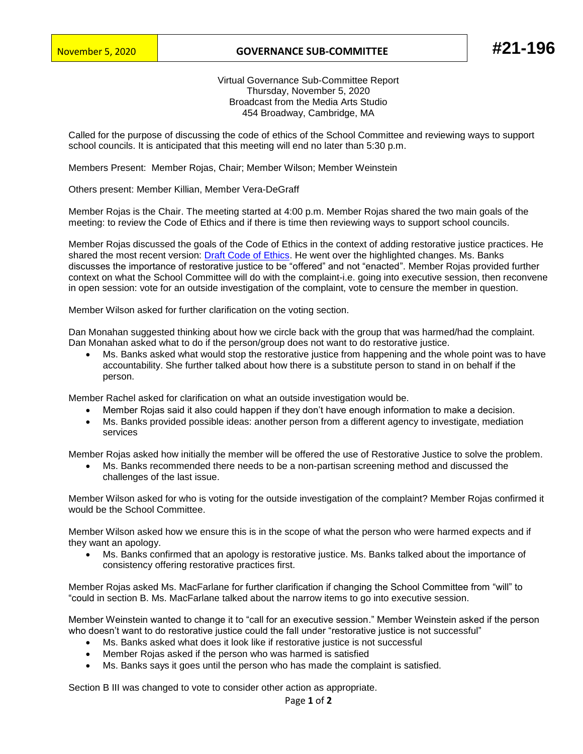## November 5, 2020 **GOVERNANCE SUB-COMMITTEE #21-196**

Virtual Governance Sub-Committee Report Thursday, November 5, 2020 Broadcast from the Media Arts Studio 454 Broadway, Cambridge, MA

Called for the purpose of discussing the code of ethics of the School Committee and reviewing ways to support school councils. It is anticipated that this meeting will end no later than 5:30 p.m.

Members Present: Member Rojas, Chair; Member Wilson; Member Weinstein

Others present: Member Killian, Member Vera-DeGraff

Member Rojas is the Chair. The meeting started at 4:00 p.m. Member Rojas shared the two main goals of the meeting: to review the Code of Ethics and if there is time then reviewing ways to support school councils.

Member Rojas discussed the goals of the Code of Ethics in the context of adding restorative justice practices. He shared the most recent version: [Draft Code of Ethics.](https://www.cpsd.us/UserFiles/Servers/Server_3042785/File/school_committee/Cambridge_School_Committee_Code_of_Ethics_DRAFT_11-5-2020.pdf) He went over the highlighted changes. Ms. Banks discusses the importance of restorative justice to be "offered" and not "enacted". Member Rojas provided further context on what the School Committee will do with the complaint-i.e. going into executive session, then reconvene in open session: vote for an outside investigation of the complaint, vote to censure the member in question.

Member Wilson asked for further clarification on the voting section.

Dan Monahan suggested thinking about how we circle back with the group that was harmed/had the complaint. Dan Monahan asked what to do if the person/group does not want to do restorative justice.

• Ms. Banks asked what would stop the restorative justice from happening and the whole point was to have accountability. She further talked about how there is a substitute person to stand in on behalf if the person.

Member Rachel asked for clarification on what an outside investigation would be.

- Member Rojas said it also could happen if they don't have enough information to make a decision.
- Ms. Banks provided possible ideas: another person from a different agency to investigate, mediation services

Member Rojas asked how initially the member will be offered the use of Restorative Justice to solve the problem.

• Ms. Banks recommended there needs to be a non-partisan screening method and discussed the challenges of the last issue.

Member Wilson asked for who is voting for the outside investigation of the complaint? Member Rojas confirmed it would be the School Committee.

Member Wilson asked how we ensure this is in the scope of what the person who were harmed expects and if they want an apology.

• Ms. Banks confirmed that an apology is restorative justice. Ms. Banks talked about the importance of consistency offering restorative practices first.

Member Rojas asked Ms. MacFarlane for further clarification if changing the School Committee from "will" to "could in section B. Ms. MacFarlane talked about the narrow items to go into executive session.

Member Weinstein wanted to change it to "call for an executive session." Member Weinstein asked if the person who doesn't want to do restorative justice could the fall under "restorative justice is not successful"

- Ms. Banks asked what does it look like if restorative justice is not successful
- Member Rojas asked if the person who was harmed is satisfied
- Ms. Banks says it goes until the person who has made the complaint is satisfied.

Section B III was changed to vote to consider other action as appropriate.